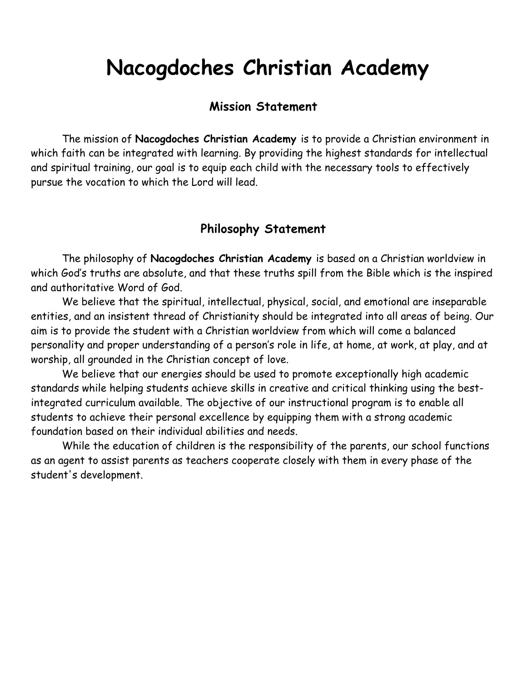# **Nacogdoches Christian Academy**

### **Mission Statement**

The mission of **Nacogdoches Christian Academy** is to provide a Christian environment in which faith can be integrated with learning. By providing the highest standards for intellectual and spiritual training, our goal is to equip each child with the necessary tools to effectively pursue the vocation to which the Lord will lead.

# **Philosophy Statement**

The philosophy of **Nacogdoches Christian Academy** is based on a Christian worldview in which God's truths are absolute, and that these truths spill from the Bible which is the inspired and authoritative Word of God.

We believe that the spiritual, intellectual, physical, social, and emotional are inseparable entities, and an insistent thread of Christianity should be integrated into all areas of being. Our aim is to provide the student with a Christian worldview from which will come a balanced personality and proper understanding of a person's role in life, at home, at work, at play, and at worship, all grounded in the Christian concept of love.

We believe that our energies should be used to promote exceptionally high academic standards while helping students achieve skills in creative and critical thinking using the bestintegrated curriculum available. The objective of our instructional program is to enable all students to achieve their personal excellence by equipping them with a strong academic foundation based on their individual abilities and needs.

While the education of children is the responsibility of the parents, our school functions as an agent to assist parents as teachers cooperate closely with them in every phase of the student's development.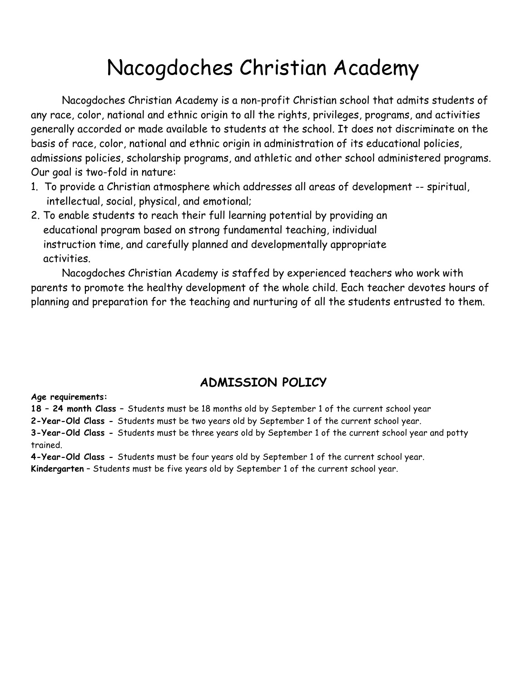# Nacogdoches Christian Academy

Nacogdoches Christian Academy is a non-profit Christian school that admits students of any race, color, national and ethnic origin to all the rights, privileges, programs, and activities generally accorded or made available to students at the school. It does not discriminate on the basis of race, color, national and ethnic origin in administration of its educational policies, admissions policies, scholarship programs, and athletic and other school administered programs. Our goal is two-fold in nature:

- 1. To provide a Christian atmosphere which addresses all areas of development -- spiritual, intellectual, social, physical, and emotional;
- 2. To enable students to reach their full learning potential by providing an educational program based on strong fundamental teaching, individual instruction time, and carefully planned and developmentally appropriate activities.

Nacogdoches Christian Academy is staffed by experienced teachers who work with parents to promote the healthy development of the whole child. Each teacher devotes hours of planning and preparation for the teaching and nurturing of all the students entrusted to them.

# **ADMISSION POLICY**

#### **Age requirements:**

**18 – 24 month Class –** Students must be 18 months old by September 1 of the current school year

**2-Year-Old Class -** Students must be two years old by September 1 of the current school year.

**3-Year-Old Class -** Students must be three years old by September 1 of the current school year and potty trained.

**4-Year-Old Class -** Students must be four years old by September 1 of the current school year. **Kindergarten** – Students must be five years old by September 1 of the current school year.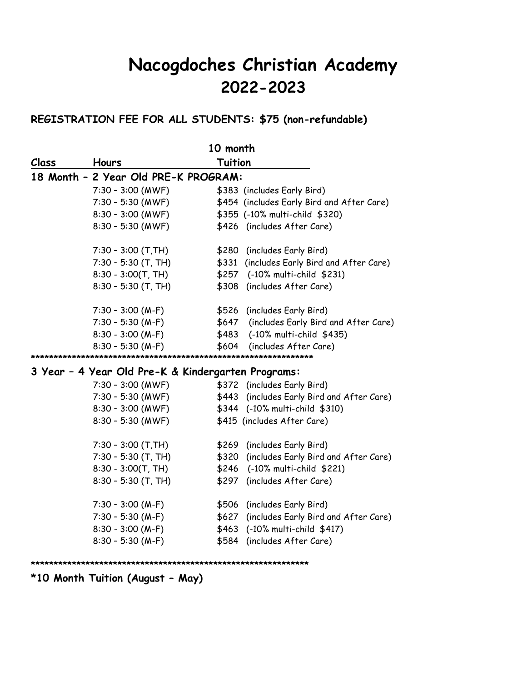# **Nacogdoches Christian Academy 2022-2023**

#### **REGISTRATION FEE FOR ALL STUDENTS: \$75 (non-refundable)**

| 10 month |                                                    |                                               |  |  |  |
|----------|----------------------------------------------------|-----------------------------------------------|--|--|--|
| Class    | Hours                                              | <b>Tuition</b>                                |  |  |  |
|          | 18 Month - 2 Year Old PRE-K PROGRAM:               |                                               |  |  |  |
|          | $7:30 - 3:00$ (MWF)                                | \$383 (includes Early Bird)                   |  |  |  |
|          | $7:30 - 5:30$ (MWF)                                | \$454 (includes Early Bird and After Care)    |  |  |  |
|          | $8:30 - 3:00$ (MWF)                                | \$355 (-10% multi-child \$320)                |  |  |  |
|          | $8:30 - 5:30$ (MWF)                                | \$426 (includes After Care)                   |  |  |  |
|          | $7:30 - 3:00$ (T,TH)                               | \$280 (includes Early Bird)                   |  |  |  |
|          | $7:30 - 5:30$ (T, TH)                              | \$331<br>(includes Early Bird and After Care) |  |  |  |
|          | $8:30 - 3:00(T, TH)$                               | (-10% multi-child \$231)<br>\$257             |  |  |  |
|          | $8:30 - 5:30$ (T, TH)                              | \$308<br>(includes After Care)                |  |  |  |
|          | $7:30 - 3:00 (M-F)$                                | \$526 (includes Early Bird)                   |  |  |  |
|          | $7:30 - 5:30 (M-F)$                                | \$647<br>(includes Early Bird and After Care) |  |  |  |
|          | $8:30 - 3:00 (M-F)$                                | (-10% multi-child \$435)<br>\$483             |  |  |  |
|          | $8:30 - 5:30 (M-F)$                                | \$604<br>(includes After Care)                |  |  |  |
|          |                                                    |                                               |  |  |  |
|          | 3 Year - 4 Year Old Pre-K & Kindergarten Programs: |                                               |  |  |  |
|          | $7:30 - 3:00$ (MWF)                                | \$372 (includes Early Bird)                   |  |  |  |
|          | $7:30 - 5:30$ (MWF)                                | (includes Early Bird and After Care)<br>\$443 |  |  |  |
|          | $8:30 - 3:00$ (MWF)                                | \$344 (-10% multi-child \$310)                |  |  |  |
|          | $8:30 - 5:30$ (MWF)                                | \$415 (includes After Care)                   |  |  |  |
|          | $7:30 - 3:00$ (T, TH)                              | \$269 (includes Early Bird)                   |  |  |  |
|          | $7:30 - 5:30$ (T, TH)                              | \$320 (includes Early Bird and After Care)    |  |  |  |
|          | $8:30 - 3:00(T, TH)$                               | \$246<br>(-10% multi-child \$221)             |  |  |  |
|          | $8:30 - 5:30$ (T, TH)                              | \$297<br>(includes After Care)                |  |  |  |
|          | $7:30 - 3:00 (M-F)$                                | \$506<br>(includes Early Bird)                |  |  |  |
|          | $7:30 - 5:30$ (M-F)                                | \$627<br>(includes Early Bird and After Care) |  |  |  |
|          | $8:30 - 3:00 (M-F)$                                | \$463<br>(-10% multi-child \$417)             |  |  |  |
|          | $8:30 - 5:30$ (M-F)                                | \$584<br>(includes After Care)                |  |  |  |

**\*\*\*\*\*\*\*\*\*\*\*\*\*\*\*\*\*\*\*\*\*\*\*\*\*\*\*\*\*\*\*\*\*\*\*\*\*\*\*\*\*\*\*\*\*\*\*\*\*\*\*\*\*\*\*\*\*\*\*\*\***

**\*10 Month Tuition (August – May)**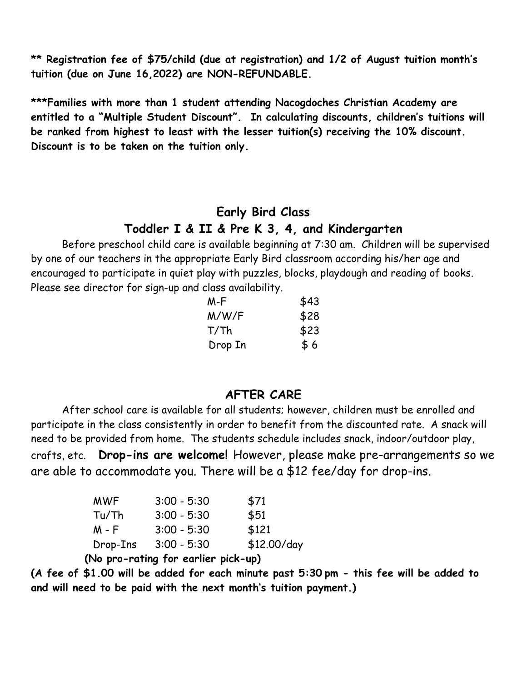**\*\* Registration fee of \$75/child (due at registration) and 1/2 of August tuition month's tuition (due on June 16,2022) are NON-REFUNDABLE.**

**\*\*\*Families with more than 1 student attending Nacogdoches Christian Academy are entitled to a "Multiple Student Discount". In calculating discounts, children's tuitions will be ranked from highest to least with the lesser tuition(s) receiving the 10% discount. Discount is to be taken on the tuition only.**

# **Early Bird Class Toddler I & II & Pre K 3, 4, and Kindergarten**

Before preschool child care is available beginning at 7:30 am. Children will be supervised by one of our teachers in the appropriate Early Bird classroom according his/her age and encouraged to participate in quiet play with puzzles, blocks, playdough and reading of books. Please see director for sign-up and class availability.

| M-F     | \$43 |
|---------|------|
| M/W/F   | \$28 |
| T/Th    | \$23 |
| Drop In | \$6  |

# **AFTER CARE**

After school care is available for all students; however, children must be enrolled and participate in the class consistently in order to benefit from the discounted rate. A snack will need to be provided from home. The students schedule includes snack, indoor/outdoor play, crafts, etc. **Drop-ins are welcome!** However, please make pre-arrangements so we are able to accommodate you. There will be a \$12 fee/day for drop-ins.

| <b>MWF</b> | $3:00 - 5:30$ | \$71        |
|------------|---------------|-------------|
| Tu/Th      | $3:00 - 5:30$ | \$51        |
| M - F      | $3:00 - 5:30$ | \$121       |
| Drop-Ins   | $3:00 - 5:30$ | \$12.00/day |

 **(No pro-rating for earlier pick-up)**

**(A fee of \$1.00 will be added for each minute past 5:30 pm - this fee will be added to and will need to be paid with the next month's tuition payment.)**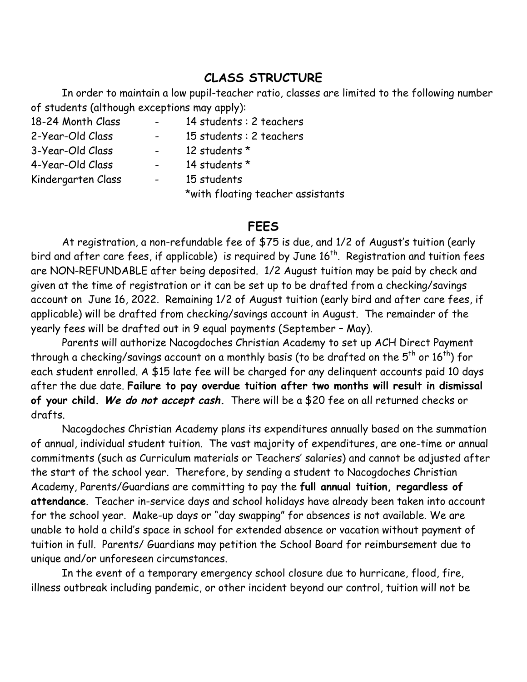# **CLASS STRUCTURE**

In order to maintain a low pupil-teacher ratio, classes are limited to the following number of students (although exceptions may apply):

| 18-24 Month Class  | $\sim$     | 14 students : 2 teachers          |
|--------------------|------------|-----------------------------------|
| 2-Year-Old Class   | $\sim$ $-$ | 15 students : 2 teachers          |
| 3-Year-Old Class   |            | 12 students *                     |
| 4-Year-Old Class   |            | 14 students *                     |
| Kindergarten Class | $\sim$ $-$ | 15 students                       |
|                    |            | *with floating teacher assistants |

#### **FEES**

At registration, a non-refundable fee of \$75 is due, and 1/2 of August's tuition (early bird and after care fees, if applicable) is required by June 16<sup>th</sup>. Registration and tuition fees are NON-REFUNDABLE after being deposited. 1/2 August tuition may be paid by check and given at the time of registration or it can be set up to be drafted from a checking/savings account on June 16, 2022. Remaining 1/2 of August tuition (early bird and after care fees, if applicable) will be drafted from checking/savings account in August. The remainder of the yearly fees will be drafted out in 9 equal payments (September – May).

Parents will authorize Nacogdoches Christian Academy to set up ACH Direct Payment through a checking/savings account on a monthly basis (to be drafted on the  $5<sup>th</sup>$  or  $16<sup>th</sup>$ ) for each student enrolled. A \$15 late fee will be charged for any delinquent accounts paid 10 days after the due date. **Failure to pay overdue tuition after two months will result in dismissal of your child. We do not accept cash.** There will be a \$20 fee on all returned checks or drafts.

Nacogdoches Christian Academy plans its expenditures annually based on the summation of annual, individual student tuition. The vast majority of expenditures, are one-time or annual commitments (such as Curriculum materials or Teachers' salaries) and cannot be adjusted after the start of the school year. Therefore, by sending a student to Nacogdoches Christian Academy, Parents/Guardians are committing to pay the **full annual tuition, regardless of attendance**. Teacher in-service days and school holidays have already been taken into account for the school year. Make-up days or "day swapping" for absences is not available. We are unable to hold a child's space in school for extended absence or vacation without payment of tuition in full. Parents/ Guardians may petition the School Board for reimbursement due to unique and/or unforeseen circumstances.

In the event of a temporary emergency school closure due to hurricane, flood, fire, illness outbreak including pandemic, or other incident beyond our control, tuition will not be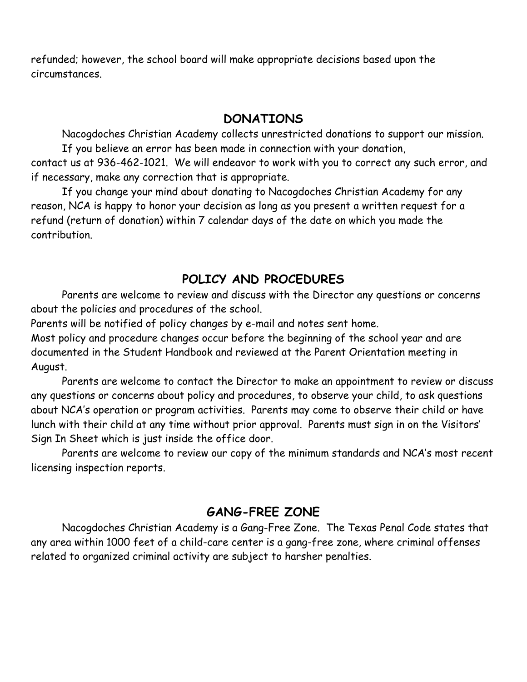refunded; however, the school board will make appropriate decisions based upon the circumstances.

# **DONATIONS**

Nacogdoches Christian Academy collects unrestricted donations to support our mission. If you believe an error has been made in connection with your donation,

contact us at 936-462-1021. We will endeavor to work with you to correct any such error, and if necessary, make any correction that is appropriate.

If you change your mind about donating to Nacogdoches Christian Academy for any reason, NCA is happy to honor your decision as long as you present a written request for a refund (return of donation) within 7 calendar days of the date on which you made the contribution.

# **POLICY AND PROCEDURES**

Parents are welcome to review and discuss with the Director any questions or concerns about the policies and procedures of the school.

Parents will be notified of policy changes by e-mail and notes sent home.

Most policy and procedure changes occur before the beginning of the school year and are documented in the Student Handbook and reviewed at the Parent Orientation meeting in August.

Parents are welcome to contact the Director to make an appointment to review or discuss any questions or concerns about policy and procedures, to observe your child, to ask questions about NCA's operation or program activities. Parents may come to observe their child or have lunch with their child at any time without prior approval. Parents must sign in on the Visitors' Sign In Sheet which is just inside the office door.

Parents are welcome to review our copy of the minimum standards and NCA's most recent licensing inspection reports.

# **GANG-FREE ZONE**

Nacogdoches Christian Academy is a Gang-Free Zone. The Texas Penal Code states that any area within 1000 feet of a child-care center is a gang-free zone, where criminal offenses related to organized criminal activity are subject to harsher penalties.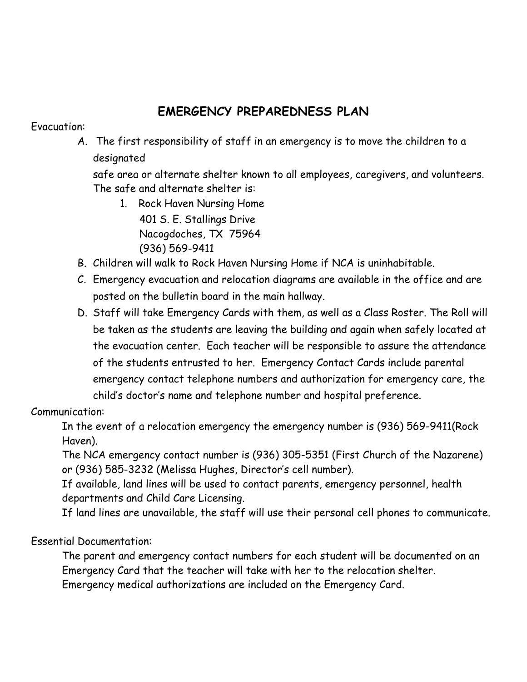# **EMERGENCY PREPAREDNESS PLAN**

#### Evacuation:

A. The first responsibility of staff in an emergency is to move the children to a designated

safe area or alternate shelter known to all employees, caregivers, and volunteers. The safe and alternate shelter is:

1. Rock Haven Nursing Home 401 S. E. Stallings Drive

Nacogdoches, TX 75964 (936) 569-9411

- B. Children will walk to Rock Haven Nursing Home if NCA is uninhabitable.
- C. Emergency evacuation and relocation diagrams are available in the office and are posted on the bulletin board in the main hallway.
- D. Staff will take Emergency Cards with them, as well as a Class Roster. The Roll will be taken as the students are leaving the building and again when safely located at the evacuation center. Each teacher will be responsible to assure the attendance of the students entrusted to her. Emergency Contact Cards include parental emergency contact telephone numbers and authorization for emergency care, the child's doctor's name and telephone number and hospital preference.

### Communication:

In the event of a relocation emergency the emergency number is (936) 569-9411(Rock Haven).

The NCA emergency contact number is (936) 305-5351 (First Church of the Nazarene) or (936) 585-3232 (Melissa Hughes, Director's cell number).

If available, land lines will be used to contact parents, emergency personnel, health departments and Child Care Licensing.

If land lines are unavailable, the staff will use their personal cell phones to communicate.

### Essential Documentation:

The parent and emergency contact numbers for each student will be documented on an Emergency Card that the teacher will take with her to the relocation shelter. Emergency medical authorizations are included on the Emergency Card.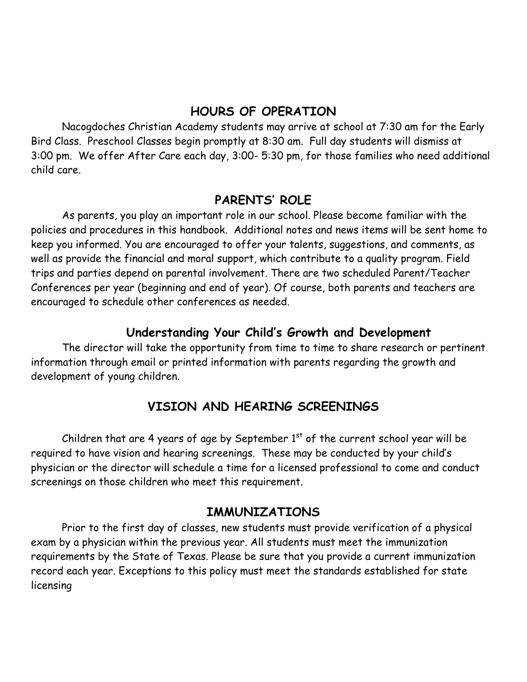# **HOURS OF OPERATION**

Nacogdoches Christian Academy students may arrive at school at 7:30 am for the Early Bird Class. Preschool Classes begin promptly at 8:30 am. Full day students will dismiss at 3:00 pm. We offer After Care each day, 3:00- 5:30 pm, for those families who need additional child care.

# **PARENTS' ROLE**

As parents, you play an important role in our school. Please become familiar with the policies and procedures in this handbook. Additional notes and news items will be sent home to keep you informed. You are encouraged to offer your talents, suggestions, and comments, as well as provide the financial and moral support, which contribute to a quality program. Field trips and parties depend on parental involvement. There are two scheduled Parent/Teacher Conferences per year (beginning and end of year). Of course, both parents and teachers are encouraged to schedule other conferences as needed.

# **Understanding Your Child's Growth and Development**

The director will take the opportunity from time to time to share research or pertinent information through email or printed information with parents regarding the growth and development of young children.

# **VISION AND HEARING SCREENINGS**

Children that are 4 years of age by September  $1<sup>st</sup>$  of the current school year will be required to have vision and hearing screenings. These may be conducted by your child's physician or the director will schedule a time for a licensed professional to come and conduct screenings on those children who meet this requirement.

### **IMMUNIZATIONS**

Prior to the first day of classes, new students must provide verification of a physical exam by a physician within the previous year. All students must meet the immunization requirements by the State of Texas. Please be sure that you provide a current immunization record each year. Exceptions to this policy must meet the standards established for state licensing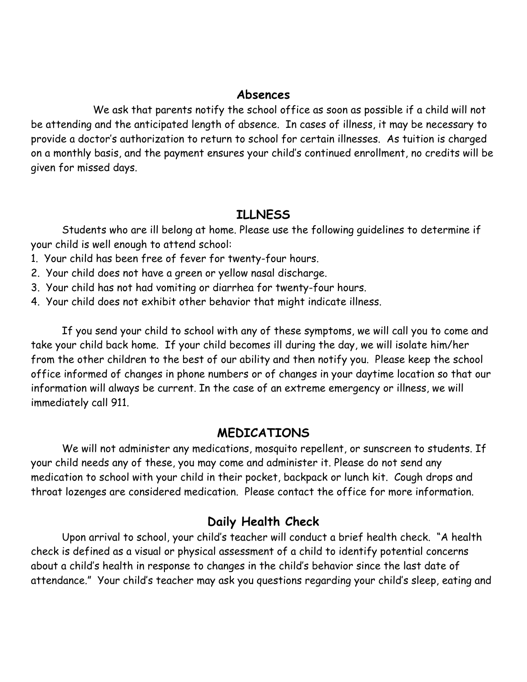#### **Absences**

We ask that parents notify the school office as soon as possible if a child will not be attending and the anticipated length of absence. In cases of illness, it may be necessary to provide a doctor's authorization to return to school for certain illnesses. As tuition is charged on a monthly basis, and the payment ensures your child's continued enrollment, no credits will be given for missed days.

# **ILLNESS**

Students who are ill belong at home. Please use the following guidelines to determine if your child is well enough to attend school:

- 1. Your child has been free of fever for twenty-four hours.
- 2. Your child does not have a green or yellow nasal discharge.
- 3. Your child has not had vomiting or diarrhea for twenty-four hours.
- 4. Your child does not exhibit other behavior that might indicate illness.

If you send your child to school with any of these symptoms, we will call you to come and take your child back home. If your child becomes ill during the day, we will isolate him/her from the other children to the best of our ability and then notify you. Please keep the school office informed of changes in phone numbers or of changes in your daytime location so that our information will always be current. In the case of an extreme emergency or illness, we will immediately call 911.

### **MEDICATIONS**

We will not administer any medications, mosquito repellent, or sunscreen to students. If your child needs any of these, you may come and administer it. Please do not send any medication to school with your child in their pocket, backpack or lunch kit. Cough drops and throat lozenges are considered medication. Please contact the office for more information.

# **Daily Health Check**

Upon arrival to school, your child's teacher will conduct a brief health check. "A health check is defined as a visual or physical assessment of a child to identify potential concerns about a child's health in response to changes in the child's behavior since the last date of attendance." Your child's teacher may ask you questions regarding your child's sleep, eating and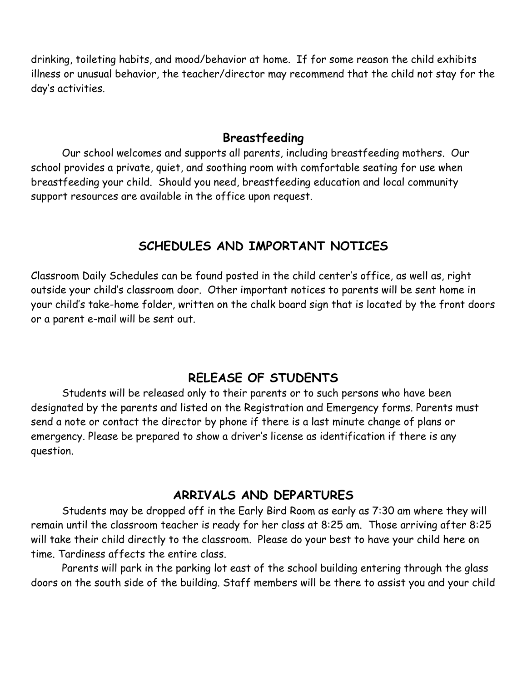drinking, toileting habits, and mood/behavior at home. If for some reason the child exhibits illness or unusual behavior, the teacher/director may recommend that the child not stay for the day's activities.

#### **Breastfeeding**

Our school welcomes and supports all parents, including breastfeeding mothers. Our school provides a private, quiet, and soothing room with comfortable seating for use when breastfeeding your child. Should you need, breastfeeding education and local community support resources are available in the office upon request.

# **SCHEDULES AND IMPORTANT NOTICES**

Classroom Daily Schedules can be found posted in the child center's office, as well as, right outside your child's classroom door. Other important notices to parents will be sent home in your child's take-home folder, written on the chalk board sign that is located by the front doors or a parent e-mail will be sent out.

# **RELEASE OF STUDENTS**

Students will be released only to their parents or to such persons who have been designated by the parents and listed on the Registration and Emergency forms. Parents must send a note or contact the director by phone if there is a last minute change of plans or emergency. Please be prepared to show a driver's license as identification if there is any question.

### **ARRIVALS AND DEPARTURES**

Students may be dropped off in the Early Bird Room as early as 7:30 am where they will remain until the classroom teacher is ready for her class at 8:25 am. Those arriving after 8:25 will take their child directly to the classroom. Please do your best to have your child here on time. Tardiness affects the entire class.

Parents will park in the parking lot east of the school building entering through the glass doors on the south side of the building. Staff members will be there to assist you and your child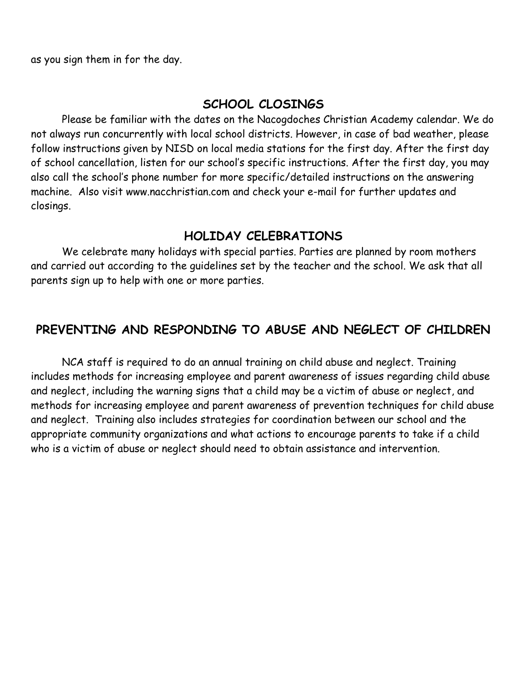as you sign them in for the day.

# **SCHOOL CLOSINGS**

Please be familiar with the dates on the Nacogdoches Christian Academy calendar. We do not always run concurrently with local school districts. However, in case of bad weather, please follow instructions given by NISD on local media stations for the first day. After the first day of school cancellation, listen for our school's specific instructions. After the first day, you may also call the school's phone number for more specific/detailed instructions on the answering machine. Also visit www.nacchristian.com and check your e-mail for further updates and closings.

# **HOLIDAY CELEBRATIONS**

We celebrate many holidays with special parties. Parties are planned by room mothers and carried out according to the guidelines set by the teacher and the school. We ask that all parents sign up to help with one or more parties.

# **PREVENTING AND RESPONDING TO ABUSE AND NEGLECT OF CHILDREN**

NCA staff is required to do an annual training on child abuse and neglect. Training includes methods for increasing employee and parent awareness of issues regarding child abuse and neglect, including the warning signs that a child may be a victim of abuse or neglect, and methods for increasing employee and parent awareness of prevention techniques for child abuse and neglect. Training also includes strategies for coordination between our school and the appropriate community organizations and what actions to encourage parents to take if a child who is a victim of abuse or neglect should need to obtain assistance and intervention.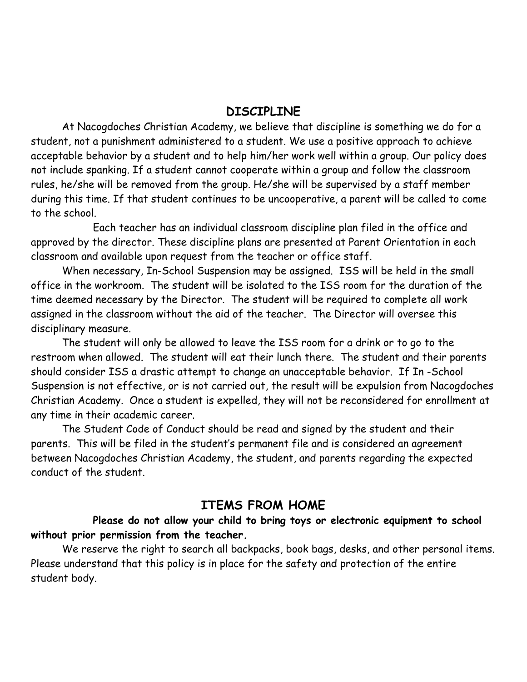#### **DISCIPLINE**

At Nacogdoches Christian Academy, we believe that discipline is something we do for a student, not a punishment administered to a student. We use a positive approach to achieve acceptable behavior by a student and to help him/her work well within a group. Our policy does not include spanking. If a student cannot cooperate within a group and follow the classroom rules, he/she will be removed from the group. He/she will be supervised by a staff member during this time. If that student continues to be uncooperative, a parent will be called to come to the school.

Each teacher has an individual classroom discipline plan filed in the office and approved by the director. These discipline plans are presented at Parent Orientation in each classroom and available upon request from the teacher or office staff.

When necessary, In-School Suspension may be assigned. ISS will be held in the small office in the workroom. The student will be isolated to the ISS room for the duration of the time deemed necessary by the Director. The student will be required to complete all work assigned in the classroom without the aid of the teacher. The Director will oversee this disciplinary measure.

The student will only be allowed to leave the ISS room for a drink or to go to the restroom when allowed. The student will eat their lunch there. The student and their parents should consider ISS a drastic attempt to change an unacceptable behavior. If In -School Suspension is not effective, or is not carried out, the result will be expulsion from Nacogdoches Christian Academy. Once a student is expelled, they will not be reconsidered for enrollment at any time in their academic career.

The Student Code of Conduct should be read and signed by the student and their parents. This will be filed in the student's permanent file and is considered an agreement between Nacogdoches Christian Academy, the student, and parents regarding the expected conduct of the student.

### **ITEMS FROM HOME**

**Please do not allow your child to bring toys or electronic equipment to school without prior permission from the teacher.**

We reserve the right to search all backpacks, book bags, desks, and other personal items. Please understand that this policy is in place for the safety and protection of the entire student body.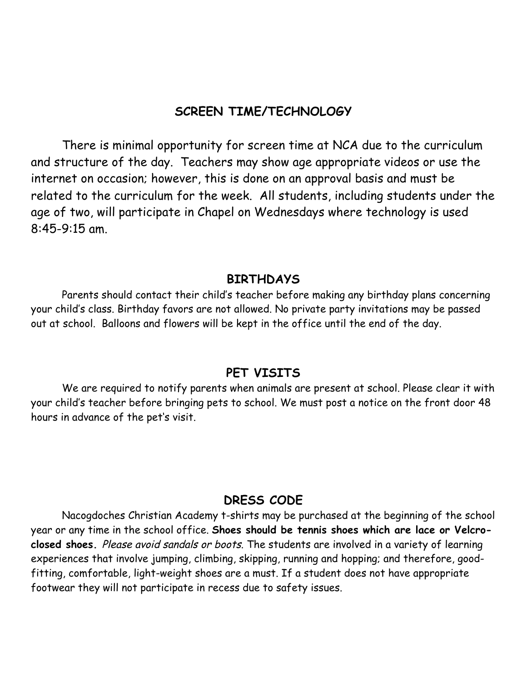# **SCREEN TIME/TECHNOLOGY**

There is minimal opportunity for screen time at NCA due to the curriculum and structure of the day. Teachers may show age appropriate videos or use the internet on occasion; however, this is done on an approval basis and must be related to the curriculum for the week. All students, including students under the age of two, will participate in Chapel on Wednesdays where technology is used 8:45-9:15 am.

#### **BIRTHDAYS**

Parents should contact their child's teacher before making any birthday plans concerning your child's class. Birthday favors are not allowed. No private party invitations may be passed out at school. Balloons and flowers will be kept in the office until the end of the day.

#### **PET VISITS**

We are required to notify parents when animals are present at school. Please clear it with your child's teacher before bringing pets to school. We must post a notice on the front door 48 hours in advance of the pet's visit.

### **DRESS CODE**

Nacogdoches Christian Academy t-shirts may be purchased at the beginning of the school year or any time in the school office. **Shoes should be tennis shoes which are lace or Velcroclosed shoes.** Please avoid sandals or boots. The students are involved in a variety of learning experiences that involve jumping, climbing, skipping, running and hopping; and therefore, goodfitting, comfortable, light-weight shoes are a must. If a student does not have appropriate footwear they will not participate in recess due to safety issues.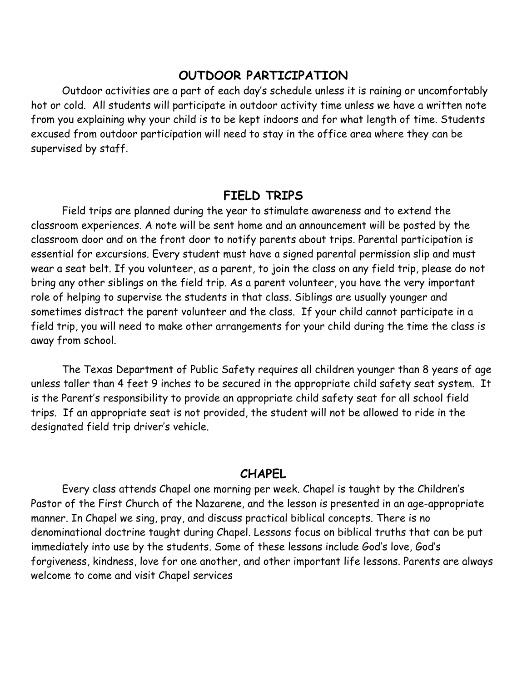#### **OUTDOOR PARTICIPATION**

Outdoor activities are a part of each day's schedule unless it is raining or uncomfortably hot or cold. All students will participate in outdoor activity time unless we have a written note from you explaining why your child is to be kept indoors and for what length of time. Students excused from outdoor participation will need to stay in the office area where they can be supervised by staff.

#### **FIELD TRIPS**

Field trips are planned during the year to stimulate awareness and to extend the classroom experiences. A note will be sent home and an announcement will be posted by the classroom door and on the front door to notify parents about trips. Parental participation is essential for excursions. Every student must have a signed parental permission slip and must wear a seat belt. If you volunteer, as a parent, to join the class on any field trip, please do not bring any other siblings on the field trip. As a parent volunteer, you have the very important role of helping to supervise the students in that class. Siblings are usually younger and sometimes distract the parent volunteer and the class. If your child cannot participate in a field trip, you will need to make other arrangements for your child during the time the class is away from school.

The Texas Department of Public Safety requires all children younger than 8 years of age unless taller than 4 feet 9 inches to be secured in the appropriate child safety seat system. It is the Parent's responsibility to provide an appropriate child safety seat for all school field trips. If an appropriate seat is not provided, the student will not be allowed to ride in the designated field trip driver's vehicle.

#### **CHAPEL**

Every class attends Chapel one morning per week. Chapel is taught by the Children's Pastor of the First Church of the Nazarene, and the lesson is presented in an age-appropriate manner. In Chapel we sing, pray, and discuss practical biblical concepts. There is no denominational doctrine taught during Chapel. Lessons focus on biblical truths that can be put immediately into use by the students. Some of these lessons include God's love, God's forgiveness, kindness, love for one another, and other important life lessons. Parents are always welcome to come and visit Chapel services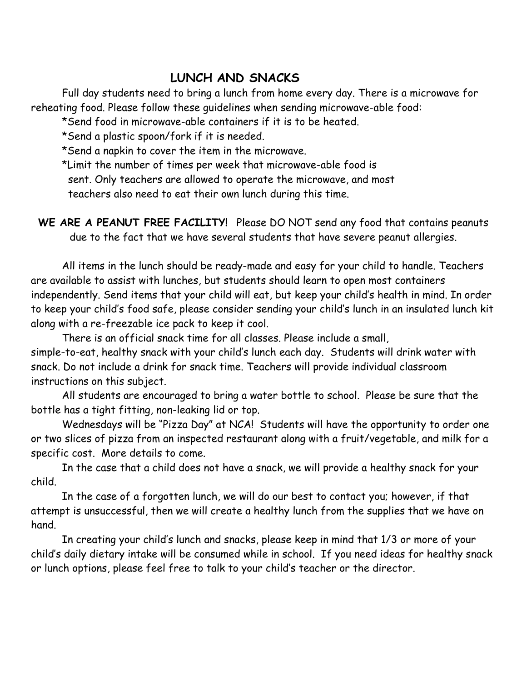# **LUNCH AND SNACKS**

Full day students need to bring a lunch from home every day. There is a microwave for reheating food. Please follow these guidelines when sending microwave-able food:

\*Send food in microwave-able containers if it is to be heated.

\*Send a plastic spoon/fork if it is needed.

\*Send a napkin to cover the item in the microwave.

\*Limit the number of times per week that microwave-able food is

sent. Only teachers are allowed to operate the microwave, and most

teachers also need to eat their own lunch during this time.

**WE ARE A PEANUT FREE FACILITY!** Please DO NOT send any food that contains peanuts due to the fact that we have several students that have severe peanut allergies.

All items in the lunch should be ready-made and easy for your child to handle. Teachers are available to assist with lunches, but students should learn to open most containers independently. Send items that your child will eat, but keep your child's health in mind. In order to keep your child's food safe, please consider sending your child's lunch in an insulated lunch kit along with a re-freezable ice pack to keep it cool.

There is an official snack time for all classes. Please include a small, simple-to-eat, healthy snack with your child's lunch each day. Students will drink water with snack. Do not include a drink for snack time. Teachers will provide individual classroom instructions on this subject.

All students are encouraged to bring a water bottle to school. Please be sure that the bottle has a tight fitting, non-leaking lid or top.

Wednesdays will be "Pizza Day" at NCA! Students will have the opportunity to order one or two slices of pizza from an inspected restaurant along with a fruit/vegetable, and milk for a specific cost. More details to come.

In the case that a child does not have a snack, we will provide a healthy snack for your child.

In the case of a forgotten lunch, we will do our best to contact you; however, if that attempt is unsuccessful, then we will create a healthy lunch from the supplies that we have on hand.

In creating your child's lunch and snacks, please keep in mind that 1/3 or more of your child's daily dietary intake will be consumed while in school. If you need ideas for healthy snack or lunch options, please feel free to talk to your child's teacher or the director.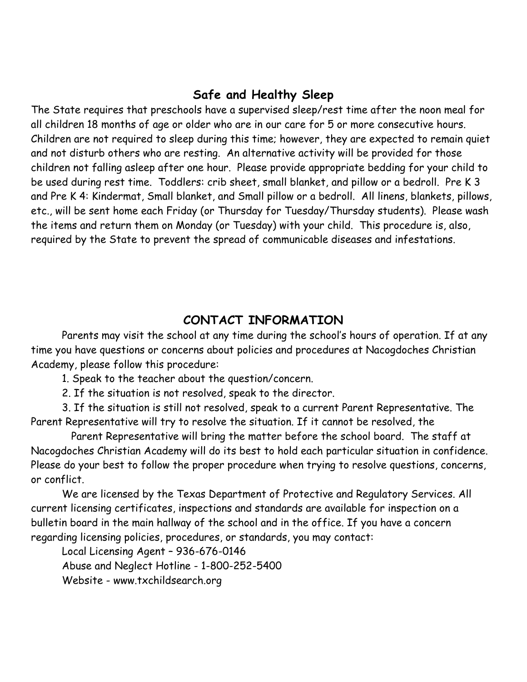#### **Safe and Healthy Sleep**

The State requires that preschools have a supervised sleep/rest time after the noon meal for all children 18 months of age or older who are in our care for 5 or more consecutive hours. Children are not required to sleep during this time; however, they are expected to remain quiet and not disturb others who are resting. An alternative activity will be provided for those children not falling asleep after one hour. Please provide appropriate bedding for your child to be used during rest time. Toddlers: crib sheet, small blanket, and pillow or a bedroll. Pre K 3 and Pre K 4: Kindermat, Small blanket, and Small pillow or a bedroll. All linens, blankets, pillows, etc., will be sent home each Friday (or Thursday for Tuesday/Thursday students). Please wash the items and return them on Monday (or Tuesday) with your child. This procedure is, also, required by the State to prevent the spread of communicable diseases and infestations.

#### **CONTACT INFORMATION**

Parents may visit the school at any time during the school's hours of operation. If at any time you have questions or concerns about policies and procedures at Nacogdoches Christian Academy, please follow this procedure:

1. Speak to the teacher about the question/concern.

2. If the situation is not resolved, speak to the director.

3. If the situation is still not resolved, speak to a current Parent Representative. The Parent Representative will try to resolve the situation. If it cannot be resolved, the

 Parent Representative will bring the matter before the school board. The staff at Nacogdoches Christian Academy will do its best to hold each particular situation in confidence. Please do your best to follow the proper procedure when trying to resolve questions, concerns, or conflict.

We are licensed by the Texas Department of Protective and Regulatory Services. All current licensing certificates, inspections and standards are available for inspection on a bulletin board in the main hallway of the school and in the office. If you have a concern regarding licensing policies, procedures, or standards, you may contact:

Local Licensing Agent – 936-676-0146 Abuse and Neglect Hotline - 1-800-252-5400 Website - www.txchildsearch.org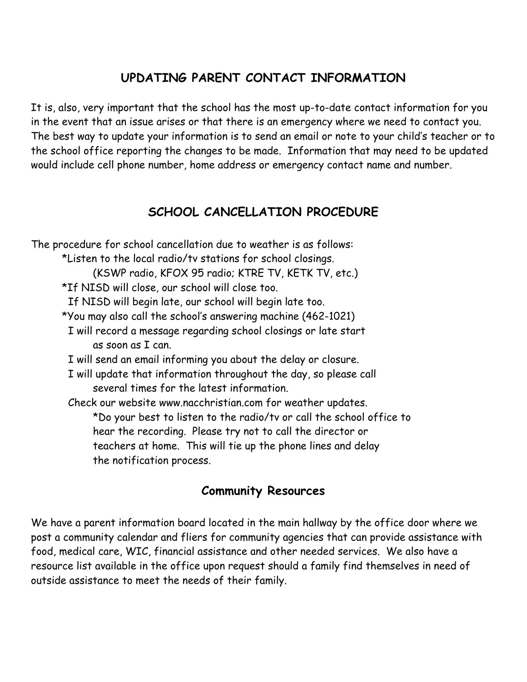# **UPDATING PARENT CONTACT INFORMATION**

It is, also, very important that the school has the most up-to-date contact information for you in the event that an issue arises or that there is an emergency where we need to contact you. The best way to update your information is to send an email or note to your child's teacher or to the school office reporting the changes to be made. Information that may need to be updated would include cell phone number, home address or emergency contact name and number.

# **SCHOOL CANCELLATION PROCEDURE**

The procedure for school cancellation due to weather is as follows: \*Listen to the local radio/tv stations for school closings. (KSWP radio, KFOX 95 radio; KTRE TV, KETK TV, etc.) \*If NISD will close, our school will close too. If NISD will begin late, our school will begin late too. \*You may also call the school's answering machine (462-1021) I will record a message regarding school closings or late start as soon as I can. I will send an email informing you about the delay or closure. I will update that information throughout the day, so please call several times for the latest information. Check our website www.nacchristian.com for weather updates. \*Do your best to listen to the radio/tv or call the school office to hear the recording. Please try not to call the director or teachers at home. This will tie up the phone lines and delay the notification process.

# **Community Resources**

We have a parent information board located in the main hallway by the office door where we post a community calendar and fliers for community agencies that can provide assistance with food, medical care, WIC, financial assistance and other needed services. We also have a resource list available in the office upon request should a family find themselves in need of outside assistance to meet the needs of their family.